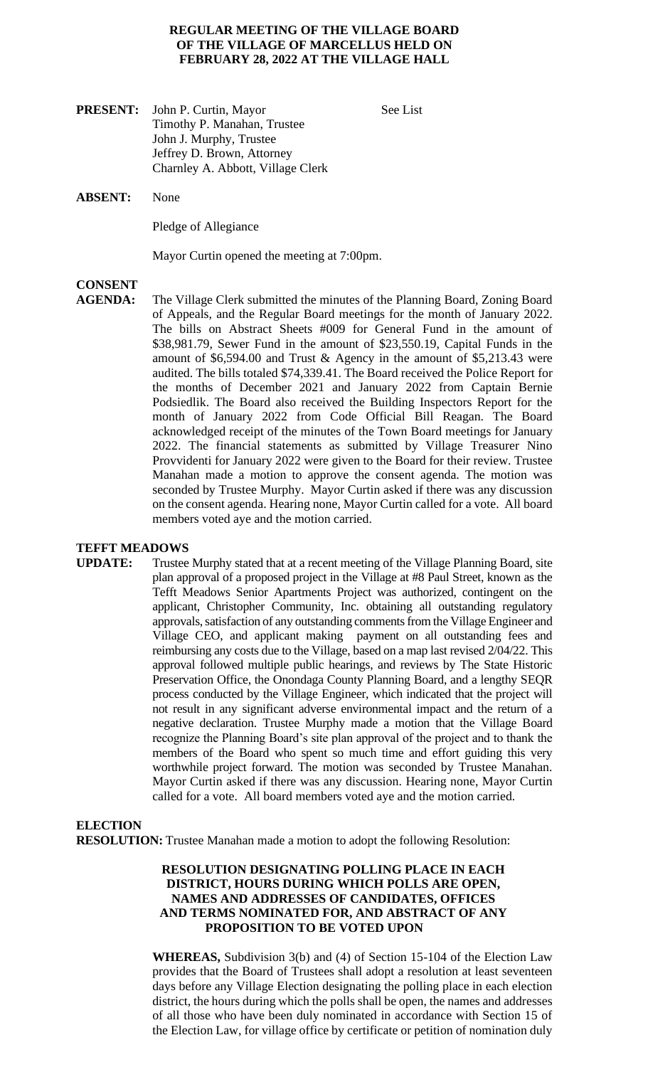#### **REGULAR MEETING OF THE VILLAGE BOARD OF THE VILLAGE OF MARCELLUS HELD ON FEBRUARY 28, 2022 AT THE VILLAGE HALL**

- **PRESENT:** John P. Curtin, Mayor See List Timothy P. Manahan, Trustee John J. Murphy, Trustee Jeffrey D. Brown, Attorney Charnley A. Abbott, Village Clerk
- **ABSENT:** None

Pledge of Allegiance

Mayor Curtin opened the meeting at 7:00pm.

# **CONSENT**

**AGENDA:** The Village Clerk submitted the minutes of the Planning Board, Zoning Board of Appeals, and the Regular Board meetings for the month of January 2022. The bills on Abstract Sheets #009 for General Fund in the amount of \$38,981.79, Sewer Fund in the amount of \$23,550.19, Capital Funds in the amount of \$6,594.00 and Trust & Agency in the amount of \$5,213.43 were audited. The bills totaled \$74,339.41. The Board received the Police Report for the months of December 2021 and January 2022 from Captain Bernie Podsiedlik. The Board also received the Building Inspectors Report for the month of January 2022 from Code Official Bill Reagan. The Board acknowledged receipt of the minutes of the Town Board meetings for January 2022. The financial statements as submitted by Village Treasurer Nino Provvidenti for January 2022 were given to the Board for their review. Trustee Manahan made a motion to approve the consent agenda. The motion was seconded by Trustee Murphy. Mayor Curtin asked if there was any discussion on the consent agenda. Hearing none, Mayor Curtin called for a vote. All board members voted aye and the motion carried.

#### **TEFFT MEADOWS**

**UPDATE:** Trustee Murphy stated that at a recent meeting of the Village Planning Board, site plan approval of a proposed project in the Village at #8 Paul Street, known as the Tefft Meadows Senior Apartments Project was authorized, contingent on the applicant, Christopher Community, Inc. obtaining all outstanding regulatory approvals, satisfaction of any outstanding comments from the Village Engineer and Village CEO, and applicant making payment on all outstanding fees and reimbursing any costs due to the Village, based on a map last revised 2/04/22. This approval followed multiple public hearings, and reviews by The State Historic Preservation Office, the Onondaga County Planning Board, and a lengthy SEQR process conducted by the Village Engineer, which indicated that the project will not result in any significant adverse environmental impact and the return of a negative declaration. Trustee Murphy made a motion that the Village Board recognize the Planning Board's site plan approval of the project and to thank the members of the Board who spent so much time and effort guiding this very worthwhile project forward. The motion was seconded by Trustee Manahan. Mayor Curtin asked if there was any discussion. Hearing none, Mayor Curtin called for a vote. All board members voted aye and the motion carried.

# **ELECTION RESOLUTION:** Trustee Manahan made a motion to adopt the following Resolution:

# **RESOLUTION DESIGNATING POLLING PLACE IN EACH DISTRICT, HOURS DURING WHICH POLLS ARE OPEN, NAMES AND ADDRESSES OF CANDIDATES, OFFICES AND TERMS NOMINATED FOR, AND ABSTRACT OF ANY PROPOSITION TO BE VOTED UPON**

**WHEREAS,** Subdivision 3(b) and (4) of Section 15-104 of the Election Law provides that the Board of Trustees shall adopt a resolution at least seventeen days before any Village Election designating the polling place in each election district, the hours during which the polls shall be open, the names and addresses of all those who have been duly nominated in accordance with Section 15 of the Election Law, for village office by certificate or petition of nomination duly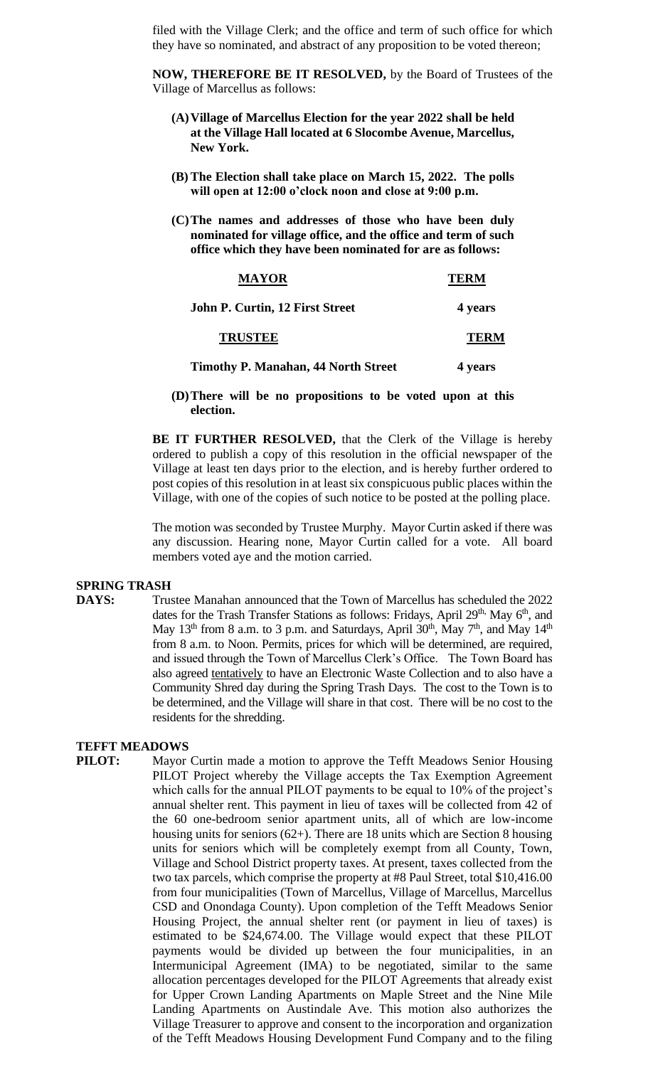filed with the Village Clerk; and the office and term of such office for which they have so nominated, and abstract of any proposition to be voted thereon;

**NOW, THEREFORE BE IT RESOLVED,** by the Board of Trustees of the Village of Marcellus as follows:

- **(A)Village of Marcellus Election for the year 2022 shall be held at the Village Hall located at 6 Slocombe Avenue, Marcellus, New York.**
- **(B) The Election shall take place on March 15, 2022. The polls will open at 12:00 o'clock noon and close at 9:00 p.m.**
- **(C)The names and addresses of those who have been duly nominated for village office, and the office and term of such office which they have been nominated for are as follows:**

| <b>MAYOR</b>                               | <b>TERM</b> |
|--------------------------------------------|-------------|
| John P. Curtin, 12 First Street            | 4 years     |
| <b>TRUSTEE</b>                             | TERM        |
| <b>Timothy P. Manahan, 44 North Street</b> | 4 years     |

#### **(D)There will be no propositions to be voted upon at this election.**

**BE IT FURTHER RESOLVED,** that the Clerk of the Village is hereby ordered to publish a copy of this resolution in the official newspaper of the Village at least ten days prior to the election, and is hereby further ordered to post copies of this resolution in at least six conspicuous public places within the Village, with one of the copies of such notice to be posted at the polling place.

The motion was seconded by Trustee Murphy. Mayor Curtin asked if there was any discussion. Hearing none, Mayor Curtin called for a vote. All board members voted aye and the motion carried.

#### **SPRING TRASH**

**DAYS:** Trustee Manahan announced that the Town of Marcellus has scheduled the 2022 dates for the Trash Transfer Stations as follows: Fridays, April 29<sup>th,</sup> May 6<sup>th</sup>, and May 13<sup>th</sup> from 8 a.m. to 3 p.m. and Saturdays, April 30<sup>th</sup>, May 7<sup>th</sup>, and May 14<sup>th</sup> from 8 a.m. to Noon. Permits, prices for which will be determined, are required, and issued through the Town of Marcellus Clerk's Office. The Town Board has also agreed tentatively to have an Electronic Waste Collection and to also have a Community Shred day during the Spring Trash Days. The cost to the Town is to be determined, and the Village will share in that cost. There will be no cost to the residents for the shredding.

### **TEFFT MEADOWS**

**PILOT:** Mayor Curtin made a motion to approve the Tefft Meadows Senior Housing PILOT Project whereby the Village accepts the Tax Exemption Agreement which calls for the annual PILOT payments to be equal to 10% of the project's annual shelter rent. This payment in lieu of taxes will be collected from 42 of the 60 one-bedroom senior apartment units, all of which are low-income housing units for seniors (62+). There are 18 units which are Section 8 housing units for seniors which will be completely exempt from all County, Town, Village and School District property taxes. At present, taxes collected from the two tax parcels, which comprise the property at #8 Paul Street, total \$10,416.00 from four municipalities (Town of Marcellus, Village of Marcellus, Marcellus CSD and Onondaga County). Upon completion of the Tefft Meadows Senior Housing Project, the annual shelter rent (or payment in lieu of taxes) is estimated to be \$24,674.00. The Village would expect that these PILOT payments would be divided up between the four municipalities, in an Intermunicipal Agreement (IMA) to be negotiated, similar to the same allocation percentages developed for the PILOT Agreements that already exist for Upper Crown Landing Apartments on Maple Street and the Nine Mile Landing Apartments on Austindale Ave. This motion also authorizes the Village Treasurer to approve and consent to the incorporation and organization of the Tefft Meadows Housing Development Fund Company and to the filing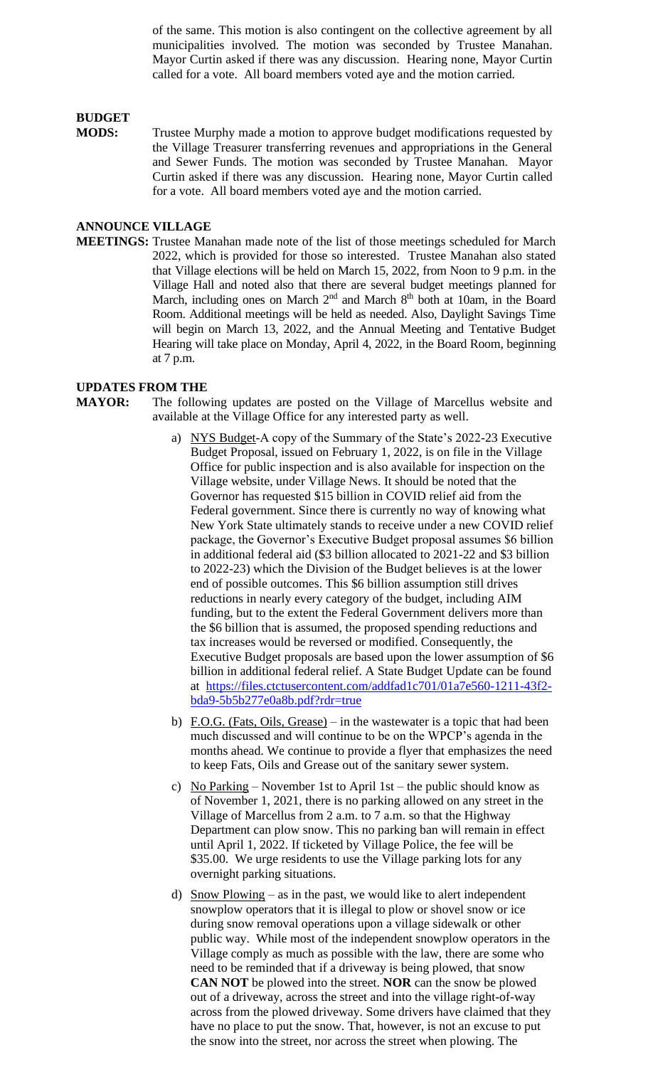of the same. This motion is also contingent on the collective agreement by all municipalities involved. The motion was seconded by Trustee Manahan. Mayor Curtin asked if there was any discussion. Hearing none, Mayor Curtin called for a vote. All board members voted aye and the motion carried.

# **BUDGET**

**MODS:** Trustee Murphy made a motion to approve budget modifications requested by the Village Treasurer transferring revenues and appropriations in the General and Sewer Funds. The motion was seconded by Trustee Manahan. Mayor Curtin asked if there was any discussion. Hearing none, Mayor Curtin called for a vote. All board members voted aye and the motion carried.

# **ANNOUNCE VILLAGE**

**MEETINGS:** Trustee Manahan made note of the list of those meetings scheduled for March 2022, which is provided for those so interested. Trustee Manahan also stated that Village elections will be held on March 15, 2022, from Noon to 9 p.m. in the Village Hall and noted also that there are several budget meetings planned for March, including ones on March 2<sup>nd</sup> and March 8<sup>th</sup> both at 10am, in the Board Room. Additional meetings will be held as needed. Also, Daylight Savings Time will begin on March 13, 2022, and the Annual Meeting and Tentative Budget Hearing will take place on Monday, April 4, 2022, in the Board Room, beginning at 7 p.m.

#### **UPDATES FROM THE**

- **MAYOR:** The following updates are posted on the Village of Marcellus website and available at the Village Office for any interested party as well.
	- a) NYS Budget-A copy of the Summary of the State's 2022-23 Executive Budget Proposal, issued on February 1, 2022, is on file in the Village Office for public inspection and is also available for inspection on the Village website, under Village News. It should be noted that the Governor has requested \$15 billion in COVID relief aid from the Federal government. Since there is currently no way of knowing what New York State ultimately stands to receive under a new COVID relief package, the Governor's Executive Budget proposal assumes \$6 billion in additional federal aid (\$3 billion allocated to 2021-22 and \$3 billion to 2022-23) which the Division of the Budget believes is at the lower end of possible outcomes. This \$6 billion assumption still drives reductions in nearly every category of the budget, including AIM funding, but to the extent the Federal Government delivers more than the \$6 billion that is assumed, the proposed spending reductions and tax increases would be reversed or modified. Consequently, the Executive Budget proposals are based upon the lower assumption of \$6 billion in additional federal relief. A State Budget Update can be found at [https://files.ctctusercontent.com/addfad1c701/01a7e560-1211-43f2](https://files.ctctusercontent.com/addfad1c701/01a7e560-1211-43f2-bda9-5b5b277e0a8b.pdf?rdr=true) [bda9-5b5b277e0a8b.pdf?rdr=true](https://files.ctctusercontent.com/addfad1c701/01a7e560-1211-43f2-bda9-5b5b277e0a8b.pdf?rdr=true)
	- b) F.O.G. (Fats, Oils, Grease) in the wastewater is a topic that had been much discussed and will continue to be on the WPCP's agenda in the months ahead. We continue to provide a flyer that emphasizes the need to keep Fats, Oils and Grease out of the sanitary sewer system.
	- c) No Parking November 1st to April 1st the public should know as of November 1, 2021, there is no parking allowed on any street in the Village of Marcellus from 2 a.m. to 7 a.m. so that the Highway Department can plow snow. This no parking ban will remain in effect until April 1, 2022. If ticketed by Village Police, the fee will be \$35.00. We urge residents to use the Village parking lots for any overnight parking situations.
	- d) Snow Plowing as in the past, we would like to alert independent snowplow operators that it is illegal to plow or shovel snow or ice during snow removal operations upon a village sidewalk or other public way. While most of the independent snowplow operators in the Village comply as much as possible with the law, there are some who need to be reminded that if a driveway is being plowed, that snow **CAN NOT** be plowed into the street. **NOR** can the snow be plowed out of a driveway, across the street and into the village right-of-way across from the plowed driveway. Some drivers have claimed that they have no place to put the snow. That, however, is not an excuse to put the snow into the street, nor across the street when plowing. The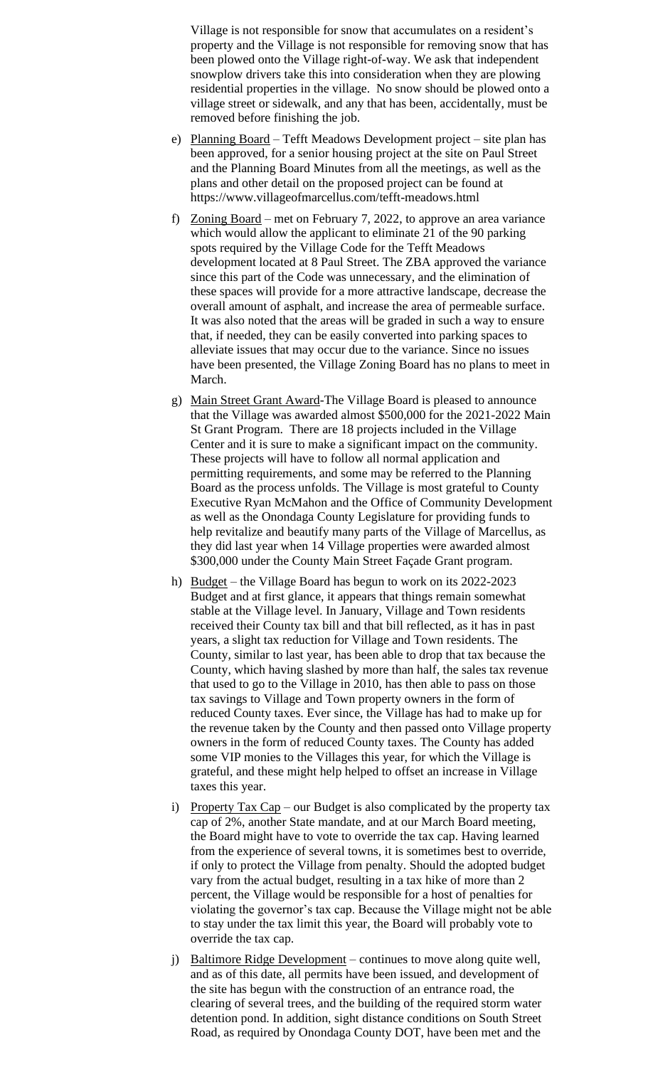Village is not responsible for snow that accumulates on a resident's property and the Village is not responsible for removing snow that has been plowed onto the Village right-of-way. We ask that independent snowplow drivers take this into consideration when they are plowing residential properties in the village. No snow should be plowed onto a village street or sidewalk, and any that has been, accidentally, must be removed before finishing the job.

- e) Planning Board Tefft Meadows Development project site plan has been approved, for a senior housing project at the site on Paul Street and the Planning Board Minutes from all the meetings, as well as the plans and other detail on the proposed project can be found at https://www.villageofmarcellus.com/tefft-meadows.html
- f) Zoning Board met on February 7, 2022, to approve an area variance which would allow the applicant to eliminate 21 of the 90 parking spots required by the Village Code for the Tefft Meadows development located at 8 Paul Street. The ZBA approved the variance since this part of the Code was unnecessary, and the elimination of these spaces will provide for a more attractive landscape, decrease the overall amount of asphalt, and increase the area of permeable surface. It was also noted that the areas will be graded in such a way to ensure that, if needed, they can be easily converted into parking spaces to alleviate issues that may occur due to the variance. Since no issues have been presented, the Village Zoning Board has no plans to meet in March.
- g) Main Street Grant Award-The Village Board is pleased to announce that the Village was awarded almost \$500,000 for the 2021-2022 Main St Grant Program. There are 18 projects included in the Village Center and it is sure to make a significant impact on the community. These projects will have to follow all normal application and permitting requirements, and some may be referred to the Planning Board as the process unfolds. The Village is most grateful to County Executive Ryan McMahon and the Office of Community Development as well as the Onondaga County Legislature for providing funds to help revitalize and beautify many parts of the Village of Marcellus, as they did last year when 14 Village properties were awarded almost \$300,000 under the County Main Street Façade Grant program.
- h) Budget the Village Board has begun to work on its 2022-2023 Budget and at first glance, it appears that things remain somewhat stable at the Village level. In January, Village and Town residents received their County tax bill and that bill reflected, as it has in past years, a slight tax reduction for Village and Town residents. The County, similar to last year, has been able to drop that tax because the County, which having slashed by more than half, the sales tax revenue that used to go to the Village in 2010, has then able to pass on those tax savings to Village and Town property owners in the form of reduced County taxes. Ever since, the Village has had to make up for the revenue taken by the County and then passed onto Village property owners in the form of reduced County taxes. The County has added some VIP monies to the Villages this year, for which the Village is grateful, and these might help helped to offset an increase in Village taxes this year.
- i) Property Tax Cap our Budget is also complicated by the property tax cap of 2%, another State mandate, and at our March Board meeting, the Board might have to vote to override the tax cap. Having learned from the experience of several towns, it is sometimes best to override, if only to protect the Village from penalty. Should the adopted budget vary from the actual budget, resulting in a tax hike of more than 2 percent, the Village would be responsible for a host of penalties for violating the governor's tax cap. Because the Village might not be able to stay under the tax limit this year, the Board will probably vote to override the tax cap.
- j) Baltimore Ridge Development continues to move along quite well, and as of this date, all permits have been issued, and development of the site has begun with the construction of an entrance road, the clearing of several trees, and the building of the required storm water detention pond. In addition, sight distance conditions on South Street Road, as required by Onondaga County DOT, have been met and the